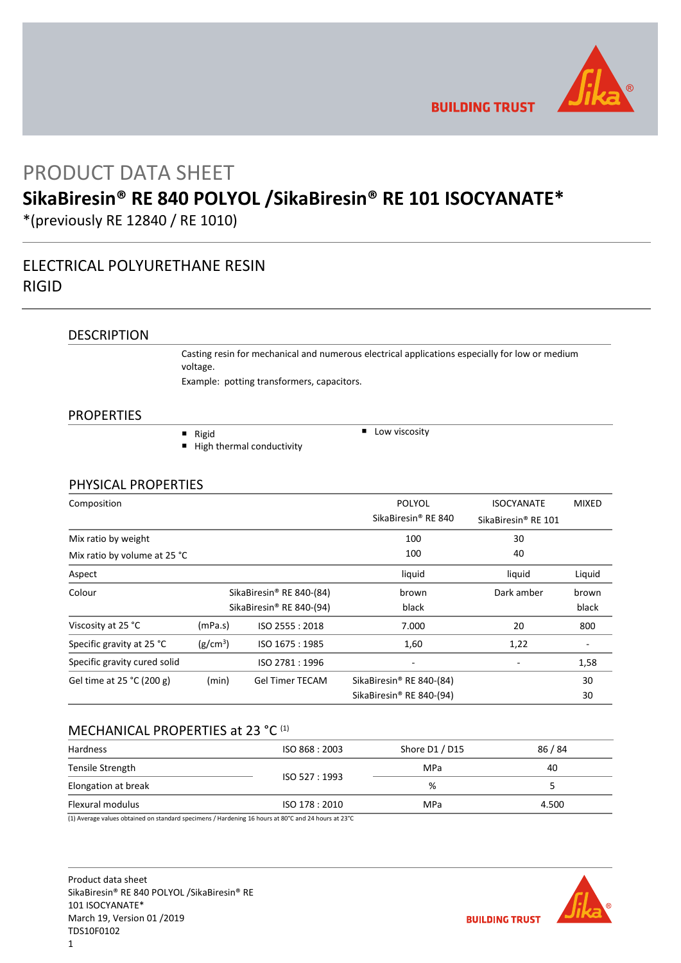

**BUILDING TRUST** 

# PRODUCT DATA SHEET

# **SikaBiresin® RE 840 POLYOL /SikaBiresin® RE 101 ISOCYANATE\***

\*(previously RE 12840 / RE 1010)

# ELECTRICAL POLYURETHANE RESIN RIGID

# **DESCRIPTION**

Casting resin for mechanical and numerous electrical applications especially for low or medium voltage.

Example: potting transformers, capacitors.

## PROPERTIES

 $\blacksquare$  Rigid

■ High thermal conductivity

 $\Box$  Low viscosity

## PHYSICAL PROPERTIES

| Composition                  |                      |                          | <b>POLYOL</b>                        | <b>ISOCYANATE</b>               | <b>MIXED</b> |
|------------------------------|----------------------|--------------------------|--------------------------------------|---------------------------------|--------------|
|                              |                      |                          | SikaBiresin <sup>®</sup> RE 840      | SikaBiresin <sup>®</sup> RE 101 |              |
| Mix ratio by weight          |                      |                          | 100                                  | 30                              |              |
| Mix ratio by volume at 25 °C |                      |                          | 100                                  | 40                              |              |
| Aspect                       |                      |                          | liquid                               | liquid                          | Liquid       |
| Colour                       |                      | SikaBiresin® RE 840-(84) | brown                                | Dark amber                      | brown        |
|                              |                      | SikaBiresin® RE 840-(94) | black                                |                                 | black        |
| Viscosity at 25 °C           | (mPa.s)              | ISO 2555: 2018           | 7.000                                | 20                              | 800          |
| Specific gravity at 25 °C    | (g/cm <sup>3</sup> ) | ISO 1675: 1985           | 1,60                                 | 1,22                            |              |
| Specific gravity cured solid |                      | ISO 2781:1996            |                                      |                                 | 1,58         |
| Gel time at 25 °C (200 g)    | (min)                | <b>Gel Timer TECAM</b>   | SikaBiresin <sup>®</sup> RE 840-(84) |                                 | 30           |
|                              |                      |                          | SikaBiresin® RE 840-(94)             |                                 | 30           |

# MECHANICAL PROPERTIES at 23 °C (1)

| ISO 868 : 2003 | Shore D1 / D15 | 86 / 84 |
|----------------|----------------|---------|
|                | MPa            | 40      |
|                | %              |         |
| ISO 178 : 2010 | MPa            | 4.500   |
|                | ISO 527 : 1993 |         |

(1) Average values obtained on standard specimens / Hardening 16 hours at 80°C and 24 hours at 23°C

Product data sheet SikaBiresin® RE 840 POLYOL /SikaBiresin® RE 101 ISOCYANATE\* March 19, Version 01 /2019 TDS10F0102

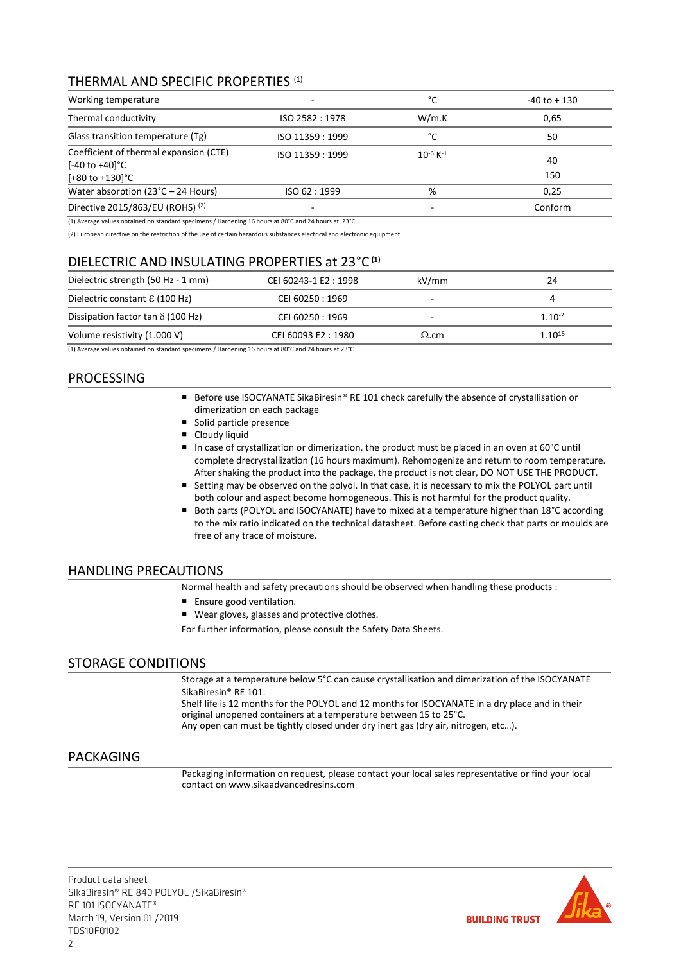# THERMAL AND SPECIFIC PROPERTIES (1)

| Working temperature                                                                                 | $\overline{\phantom{a}}$ | °C                        | $-40$ to $+130$ |
|-----------------------------------------------------------------------------------------------------|--------------------------|---------------------------|-----------------|
| Thermal conductivity                                                                                | ISO 2582:1978            | W/m.K                     | 0,65            |
| Glass transition temperature (Tg)                                                                   | ISO 11359 : 1999         | °C                        | 50              |
| Coefficient of thermal expansion (CTE)<br>$[-40 \text{ to } +40]$ °C<br>$[+80 \text{ to } +130]$ °C | ISO 11359 : 1999         | $10^{-6}$ K <sup>-1</sup> | 40<br>150       |
| Water absorption ( $23^{\circ}$ C – 24 Hours)                                                       | ISO 62:1999              | %                         | 0.25            |
| Directive 2015/863/EU (ROHS) (2)                                                                    | $\overline{\phantom{0}}$ | -                         | Conform         |

(1) Average values obtained on standard specimens / Hardening 16 hours at 80°C and 24 hours at 23°C.

(2) European directive on the restriction of the use of certain hazardous substances electrical and electronic equipment.

# DIELECTRIC AND INSULATING PROPERTIES at 23°C **(1)**

| Dielectric strength (50 Hz - 1 mm)                                                                            | CEI 60243-1 E2: 1998 | kV/mm        | 24          |
|---------------------------------------------------------------------------------------------------------------|----------------------|--------------|-------------|
| Dielectric constant $\epsilon$ (100 Hz)                                                                       | CEI 60250 : 1969     | -            |             |
| Dissipation factor tan $\delta$ (100 Hz)                                                                      | CEI 60250 : 1969     |              | $1.10^{-2}$ |
| Volume resistivity (1.000 V)                                                                                  | CEI 60093 E2:1980    | $\Omega$ .cm | $1.10^{15}$ |
| (4) Accounts colored the best of the second contract of a filled colored C because AOSC and DA because a DOSC |                      |              |             |

(1) Average values obtained on standard specimens / Hardening 16 hours at 80°C and 24 hours at 23°C

# PROCESSING

- Before use ISOCYANATE SikaBiresin® RE 101 check carefully the absence of crystallisation or dimerization on each package
- Solid particle presence
- Cloudy liquid
- In case of crystallization or dimerization, the product must be placed in an oven at 60°C until complete drecrystallization (16 hours maximum). Rehomogenize and return to room temperature. After shaking the product into the package, the product is not clear, DO NOT USE THE PRODUCT.
- Setting may be observed on the polyol. In that case, it is necessary to mix the POLYOL part until both colour and aspect become homogeneous. This is not harmful for the product quality.
- Both parts (POLYOL and ISOCYANATE) have to mixed at a temperature higher than 18°C according to the mix ratio indicated on the technical datasheet. Before casting check that parts or moulds are free of any trace of moisture.

# HANDLING PRECAUTIONS

Normal health and safety precautions should be observed when handling these products :

- Ensure good ventilation.
- Wear gloves, glasses and protective clothes.

For further information, please consult the Safety Data Sheets.

# STORAGE CONDITIONS

Storage at a temperature below 5°C can cause crystallisation and dimerization of the ISOCYANATE SikaBiresin® RE 101.

Shelf life is 12 months for the POLYOL and 12 months for ISOCYANATE in a dry place and in their original unopened containers at a temperature between 15 to 25°C. Any open can must be tightly closed under dry inert gas (dry air, nitrogen, etc…).

# PACKAGING

Packaging information on request, please contact your local sales representative or find your local contact on www.sikaadvancedresins.com

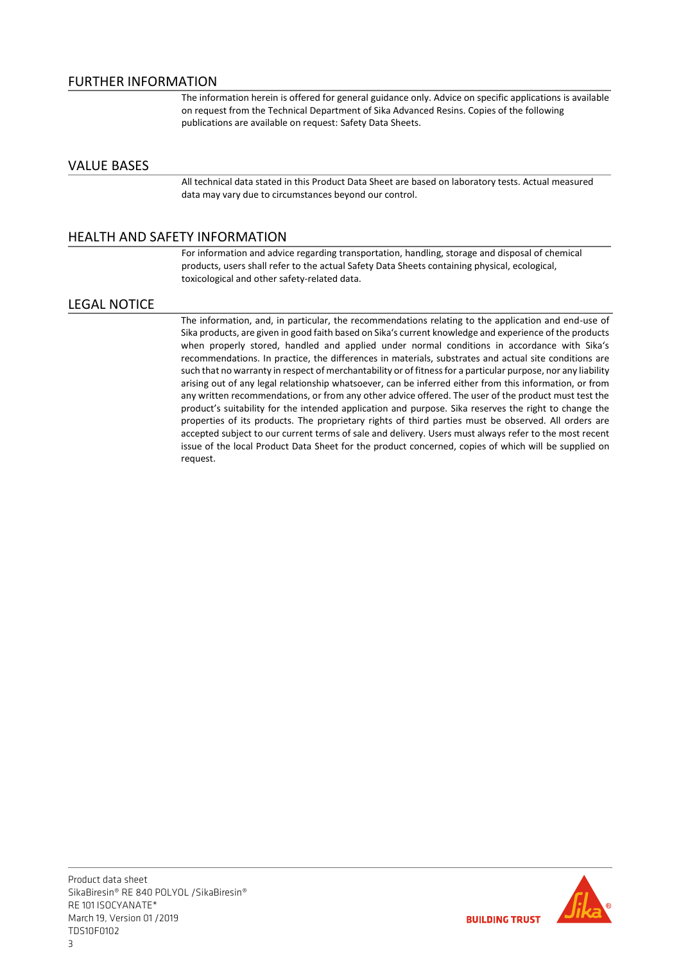The information herein is offered for general guidance only. Advice on specific applications is available on request from the Technical Department of Sika Advanced Resins. Copies of the following publications are available on request: Safety Data Sheets.

## VALUE BASES

All technical data stated in this Product Data Sheet are based on laboratory tests. Actual measured data may vary due to circumstances beyond our control.

# HEALTH AND SAFETY INFORMATION

For information and advice regarding transportation, handling, storage and disposal of chemical products, users shall refer to the actual Safety Data Sheets containing physical, ecological, toxicological and other safety-related data.

## LEGAL NOTICE

The information, and, in particular, the recommendations relating to the application and end-use of Sika products, are given in good faith based on Sika's current knowledge and experience of the products when properly stored, handled and applied under normal conditions in accordance with Sika's recommendations. In practice, the differences in materials, substrates and actual site conditions are such that no warranty in respect of merchantability or of fitness for a particular purpose, nor any liability arising out of any legal relationship whatsoever, can be inferred either from this information, or from any written recommendations, or from any other advice offered. The user of the product must test the product's suitability for the intended application and purpose. Sika reserves the right to change the properties of its products. The proprietary rights of third parties must be observed. All orders are accepted subject to our current terms of sale and delivery. Users must always refer to the most recent issue of the local Product Data Sheet for the product concerned, copies of which will be supplied on request.